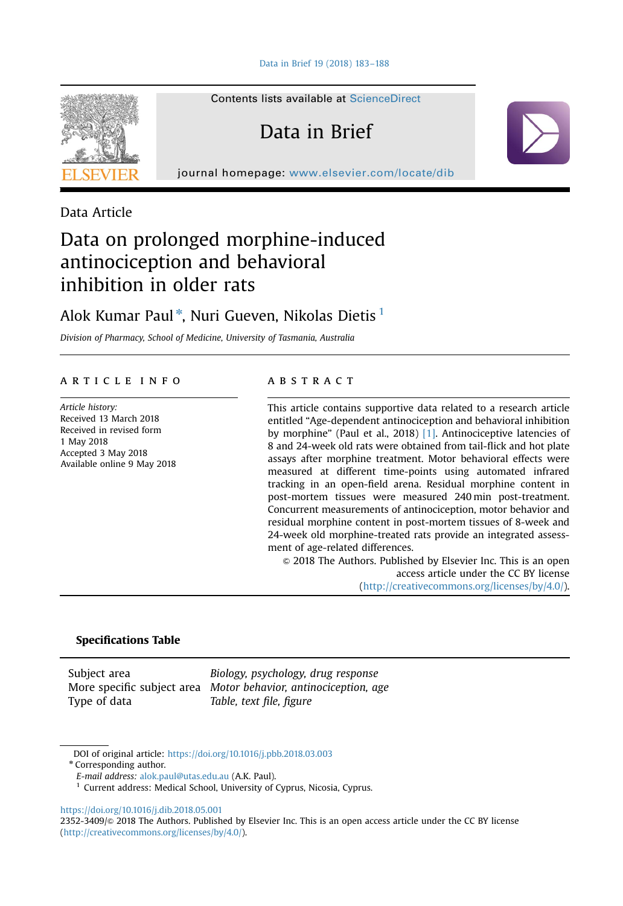

Contents lists available at [ScienceDirect](www.sciencedirect.com/science/journal/23523409)

# Data in Brief

journal homepage: <www.elsevier.com/locate/dib>

Data Article

# Data on prolonged morphine-induced antinociception and behavioral inhibition in older rats

# Alok Kumar Paul\*, Nuri Gueven, Nikolas Dietis <sup>1</sup>

Division of Pharmacy, School of Medicine, University of Tasmania, Australia

## article info

Article history: Received 13 March 2018 Received in revised form 1 May 2018 Accepted 3 May 2018 Available online 9 May 2018

### **ABSTRACT**

This article contains supportive data related to a research article entitled "Age-dependent antinociception and behavioral inhibition by morphine" (Paul et al., 2018) [\[1\]](#page-5-0). Antinociceptive latencies of 8 and 24-week old rats were obtained from tail-flick and hot plate assays after morphine treatment. Motor behavioral effects were measured at different time-points using automated infrared tracking in an open-field arena. Residual morphine content in post-mortem tissues were measured 240 min post-treatment. Concurrent measurements of antinociception, motor behavior and residual morphine content in post-mortem tissues of 8-week and 24-week old morphine-treated rats provide an integrated assessment of age-related differences.

 $\odot$  2018 The Authors. Published by Elsevier Inc. This is an open access article under the CC BY license (http://creativecommons.org/licenses/by/4.0/).

# Specifications Table

Type of data Table, text file, figure

Subject area **Biology**, psychology, drug response More specific subject area Motor behavior, antinociception, age

DOI of original article: [https://doi.org/10.1016/j.pbb.2018.03.003](http://dx.doi.org/10.1016/j.pbb.2018.03.003)

<sup>\*</sup> Corresponding author.

E-mail address: [alok.paul@utas.edu.au](mailto:alok.paul@utas.edu.au) (A.K. Paul).

<sup>&</sup>lt;sup>1</sup> Current address: Medical School, University of Cyprus, Nicosia, Cyprus.

<https://doi.org/10.1016/j.dib.2018.05.001>

<sup>2352-3409/© 2018</sup> The Authors. Published by Elsevier Inc. This is an open access article under the CC BY license (http://creativecommons.org/licenses/by/4.0/).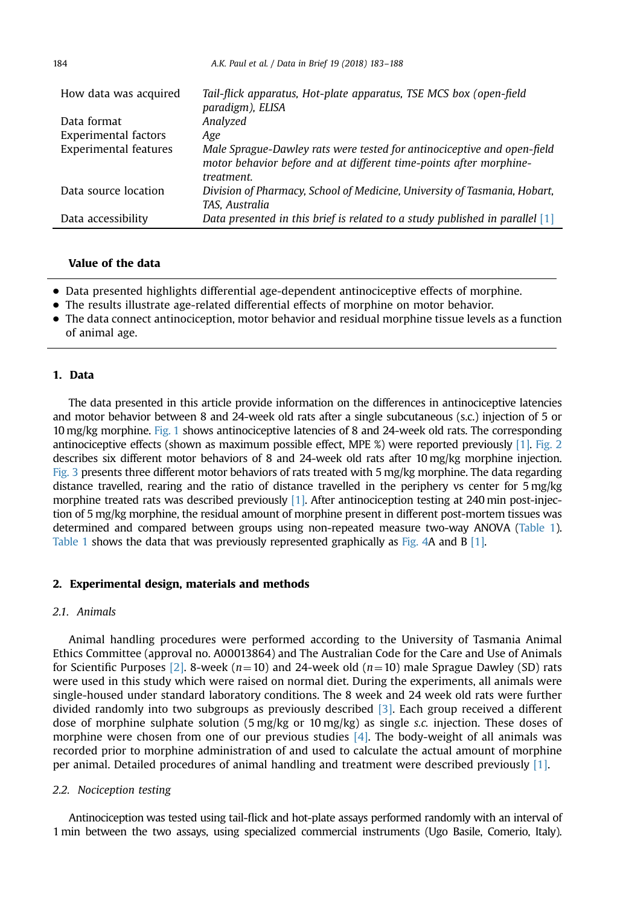<span id="page-1-0"></span>

| How data was acquired | Tail-flick apparatus, Hot-plate apparatus, TSE MCS box (open-field<br>paradigm), ELISA                                                                      |
|-----------------------|-------------------------------------------------------------------------------------------------------------------------------------------------------------|
| Data format           | Analyzed                                                                                                                                                    |
| Experimental factors  | Age                                                                                                                                                         |
| Experimental features | Male Sprague-Dawley rats were tested for antinociceptive and open-field<br>motor behavior before and at different time-points after morphine-<br>treatment. |
| Data source location  | Division of Pharmacy, School of Medicine, University of Tasmania, Hobart,<br>TAS. Australia                                                                 |
| Data accessibility    | Data presented in this brief is related to a study published in parallel $[1]$                                                                              |

# Value of the data

- Data presented highlights differential age-dependent antinociceptive effects of morphine.
- The results illustrate age-related differential effects of morphine on motor behavior.
- The data connect antinociception, motor behavior and residual morphine tissue levels as a function of animal age.

# 1. Data

The data presented in this article provide information on the differences in antinociceptive latencies and motor behavior between 8 and 24-week old rats after a single subcutaneous (s.c.) injection of 5 or 10 mg/kg morphine. [Fig. 1](#page-2-0) shows antinociceptive latencies of 8 and 24-week old rats. The corresponding antinociceptive effects (shown as maximum possible effect, MPE %) were reported previously [\[1\].](#page-5-0) [Fig. 2](#page-3-0) describes six different motor behaviors of 8 and 24-week old rats after 10 mg/kg morphine injection. [Fig. 3](#page-4-0) presents three different motor behaviors of rats treated with  $5 \text{ mg/kg}$  morphine. The data regarding distance travelled, rearing and the ratio of distance travelled in the periphery vs center for 5 mg/kg morphine treated rats was described previously [\[1\].](#page-5-0) After antinociception testing at 240 min post-injection of 5 mg/kg morphine, the residual amount of morphine present in different post-mortem tissues was determined and compared between groups using non-repeated measure two-way ANOVA [\(Table 1](#page-5-0)). [Table 1](#page-5-0) shows the data that was previously represented graphically as [Fig. 4A](#page-5-0) and B [\[1\].](#page-5-0)

#### 2. Experimental design, materials and methods

#### 2.1. Animals

Animal handling procedures were performed according to the University of Tasmania Animal Ethics Committee (approval no. A00013864) and The Australian Code for the Care and Use of Animals for Scientific Purposes [\[2\]](#page-5-0). 8-week ( $n=10$ ) and 24-week old ( $n=10$ ) male Sprague Dawley (SD) rats were used in this study which were raised on normal diet. During the experiments, all animals were single-housed under standard laboratory conditions. The 8 week and 24 week old rats were further divided randomly into two subgroups as previously described [\[3\].](#page-5-0) Each group received a different dose of morphine sulphate solution (5 mg/kg or 10 mg/kg) as single s.c. injection. These doses of morphine were chosen from one of our previous studies [\[4\]](#page-5-0). The body-weight of all animals was recorded prior to morphine administration of and used to calculate the actual amount of morphine per animal. Detailed procedures of animal handling and treatment were described previously [\[1\]](#page-5-0).

#### 2.2. Nociception testing

Antinociception was tested using tail-flick and hot-plate assays performed randomly with an interval of 1 min between the two assays, using specialized commercial instruments (Ugo Basile, Comerio, Italy).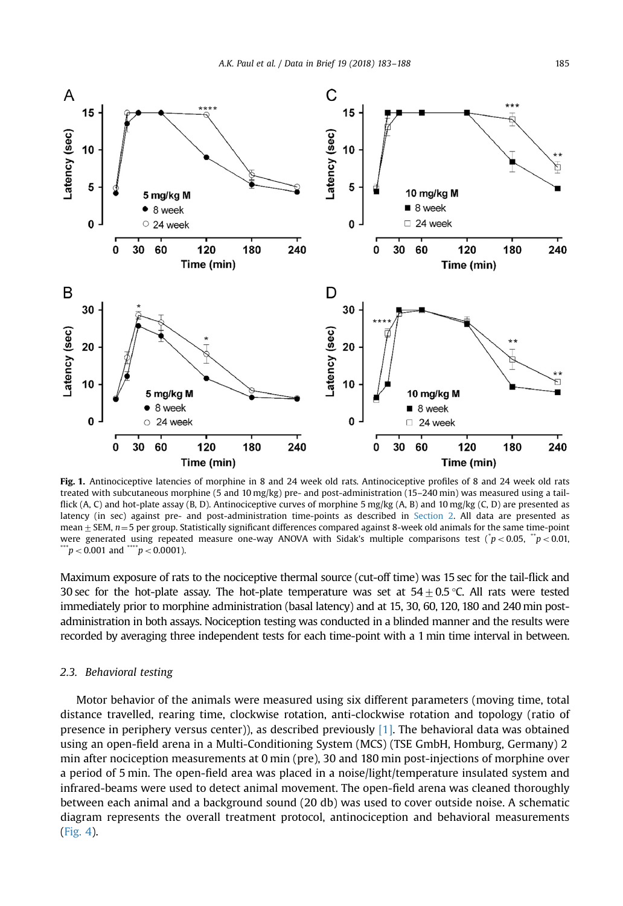<span id="page-2-0"></span>

Fig. 1. Antinociceptive latencies of morphine in 8 and 24 week old rats. Antinociceptive profiles of 8 and 24 week old rats treated with subcutaneous morphine (5 and 10 mg/kg) pre- and post-administration (15–240 min) was measured using a tailflick (A, C) and hot-plate assay (B, D). Antinociceptive curves of morphine 5 mg/kg (A, B) and 10 mg/kg (C, D) are presented as latency (in sec) against pre- and post-administration time-points as described in [Section 2.](#page-1-0) All data are presented as mean  $\pm$  SEM,  $n=5$  per group. Statistically significant differences compared against 8-week old animals for the same time-point were generated using repeated measure one-way ANOVA with Sidak's multiple comparisons test ( $\dot{p}$  < 0.05,  $\ddot{p}$  < 0.01,  $\mu$  < 0.001 and  $\mu$  and  $\mu$  = 0.0001).

Maximum exposure of rats to the nociceptive thermal source (cut-off time) was 15 sec for the tail-flick and 30 sec for the hot-plate assay. The hot-plate temperature was set at  $54\pm0.5$  °C. All rats were tested immediately prior to morphine administration (basal latency) and at 15, 30, 60, 120, 180 and 240 min postadministration in both assays. Nociception testing was conducted in a blinded manner and the results were recorded by averaging three independent tests for each time-point with a 1 min time interval in between.

#### 2.3. Behavioral testing

Motor behavior of the animals were measured using six different parameters (moving time, total distance travelled, rearing time, clockwise rotation, anti-clockwise rotation and topology (ratio of presence in periphery versus center)), as described previously  $[1]$ . The behavioral data was obtained using an open-field arena in a Multi-Conditioning System (MCS) (TSE GmbH, Homburg, Germany) 2 min after nociception measurements at 0 min (pre), 30 and 180 min post-injections of morphine over a period of 5 min. The open-field area was placed in a noise/light/temperature insulated system and infrared-beams were used to detect animal movement. The open-field arena was cleaned thoroughly between each animal and a background sound (20 db) was used to cover outside noise. A schematic diagram represents the overall treatment protocol, antinociception and behavioral measurements [\(Fig. 4\)](#page-5-0).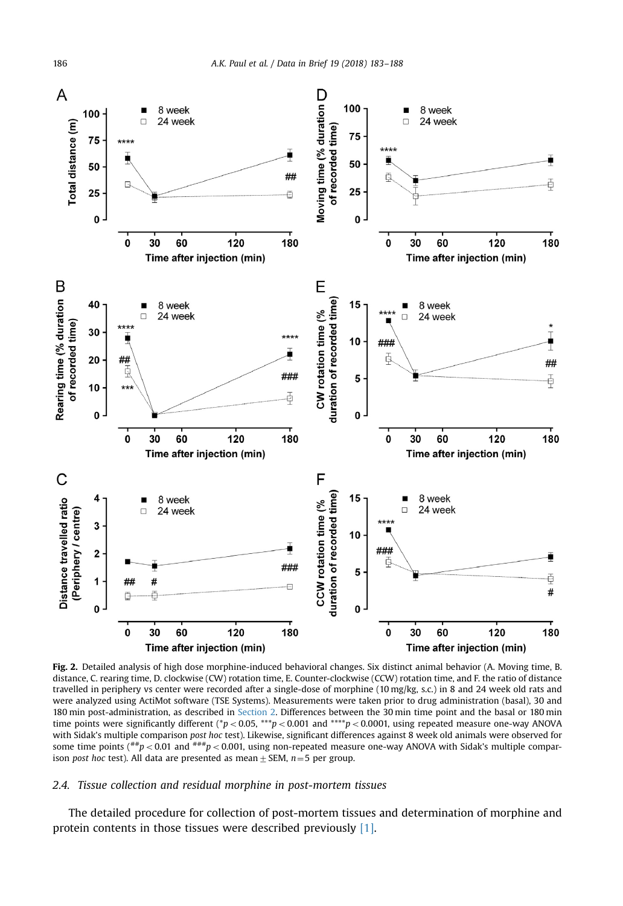<span id="page-3-0"></span>

Fig. 2. Detailed analysis of high dose morphine-induced behavioral changes. Six distinct animal behavior (A. Moving time, B. distance, C. rearing time, D. clockwise (CW) rotation time, E. Counter-clockwise (CCW) rotation time, and F. the ratio of distance travelled in periphery vs center were recorded after a single-dose of morphine (10 mg/kg, s.c.) in 8 and 24 week old rats and were analyzed using ActiMot software (TSE Systems). Measurements were taken prior to drug administration (basal), 30 and 180 min post-administration, as described in [Section 2.](#page-1-0) Differences between the 30 min time point and the basal or 180 min time points were significantly different (\*p < 0.05, \*\*\*p < 0.001 and \*\*\*\*p < 0.0001, using repeated measure one-way ANOVA with Sidak's multiple comparison post hoc test). Likewise, significant differences against 8 week old animals were observed for some time points ( $^{**}p$  < 0.01 and  $^{***}p$  < 0.001, using non-repeated measure one-way ANOVA with Sidak's multiple comparison post hoc test). All data are presented as mean  $\pm$  SEM, n = 5 per group.

#### 2.4. Tissue collection and residual morphine in post-mortem tissues

The detailed procedure for collection of post-mortem tissues and determination of morphine and protein contents in those tissues were described previously [\[1\]](#page-5-0).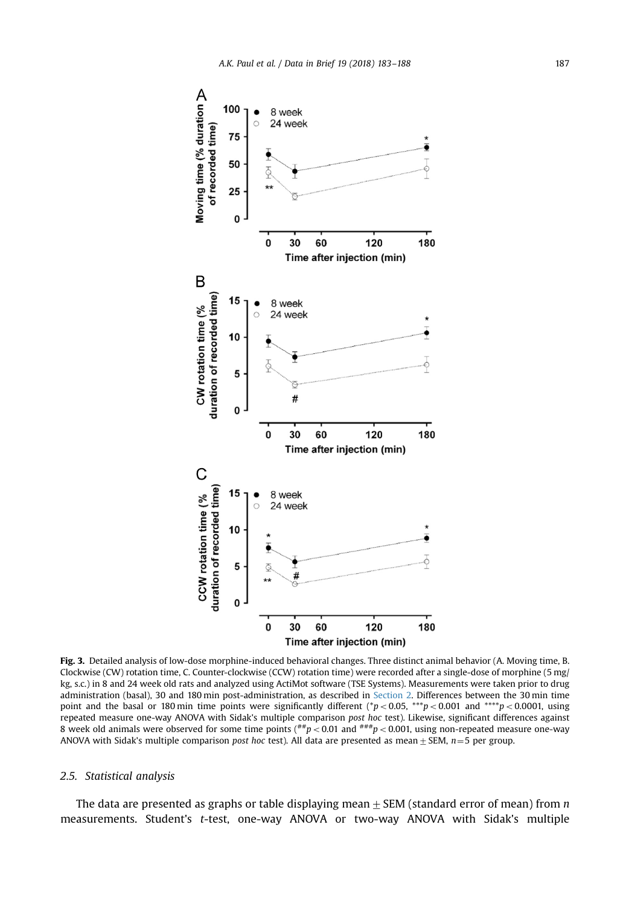<span id="page-4-0"></span>

Fig. 3. Detailed analysis of low-dose morphine-induced behavioral changes. Three distinct animal behavior (A. Moving time, B. Clockwise (CW) rotation time, C. Counter-clockwise (CCW) rotation time) were recorded after a single-dose of morphine (5 mg/ kg, s.c.) in 8 and 24 week old rats and analyzed using ActiMot software (TSE Systems). Measurements were taken prior to drug administration (basal), 30 and 180 min post-administration, as described in [Section 2](#page-1-0). Differences between the 30 min time point and the basal or 180 min time points were significantly different (\*p < 0.05, \*\*\*p < 0.001 and \*\*\*\*p < 0.0001, using repeated measure one-way ANOVA with Sidak's multiple comparison post hoc test). Likewise, significant differences against 8 week old animals were observed for some time points ( $^{*}\nmid p < 0.01$  and  $^{*}\nmid \mid p < 0.001$ , using non-repeated measure one-way ANOVA with Sidak's multiple comparison post hoc test). All data are presented as mean  $\pm$  SEM, n=5 per group.

## 2.5. Statistical analysis

The data are presented as graphs or table displaying mean  $\pm$  SEM (standard error of mean) from n measurements. Student's t-test, one-way ANOVA or two-way ANOVA with Sidak's multiple